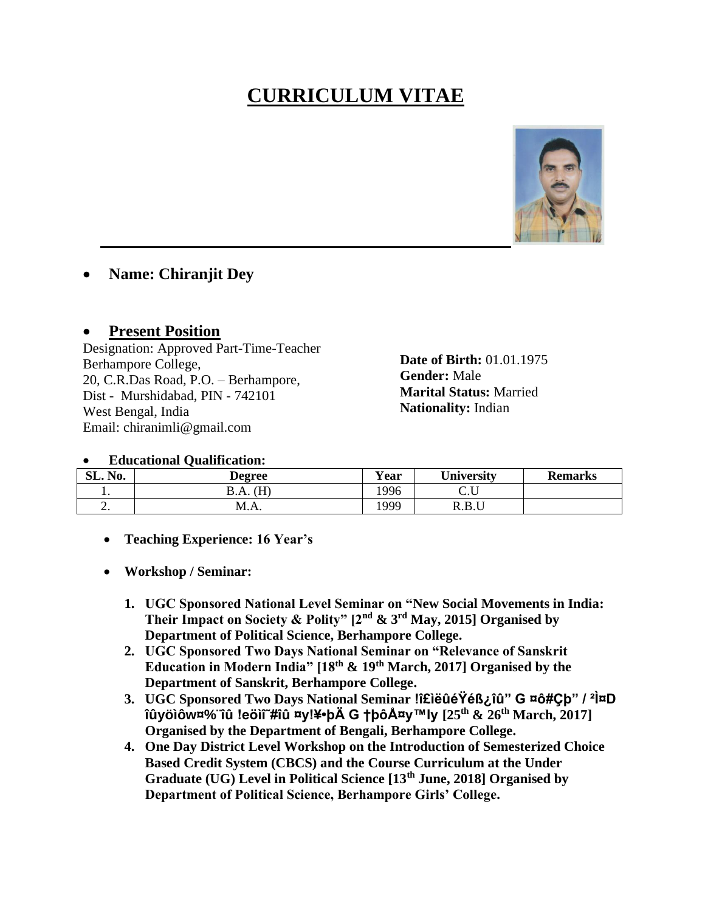## **CURRICULUM VITAE**



## **Name: Chiranjit Dey**

## **Present Position**

Designation: Approved Part-Time-Teacher Berhampore College, 20, C.R.Das Road, P.O. - Berhampore, Dist - Murshidabad, PIN - 742101 West Bengal, India Email: chiranimli@gmail.com

**Date of Birth: 01.01.1975 Gender:** Male **Marital Status: Married** Nationality: Indian

## **Educational Oualification:**

| SL. No.  | Degree             | $\mathbf{v}$<br>r ear | <b>University</b>     | <b>Remarks</b> |
|----------|--------------------|-----------------------|-----------------------|----------------|
| . .      | ΊЦ<br>D.A.<br>. 11 | 996                   | J.U                   |                |
| <u>.</u> | M.A.               | 1999                  | <b>DDI</b> I<br>R.D.U |                |

- **Teaching Experience: 16 Year's**
- Workshop / Seminar:
	- 1. UGC Sponsored National Level Seminar on "New Social Movements in India: Their Impact on Society & Polity"  $[2^{nd} \& 3^{rd}$  May, 2015] Organised by **Department of Political Science, Berhampore College.**
	- 2. UGC Sponsored Two Days National Seminar on "Relevance of Sanskrit Education in Modern India"  $[18^{th} \& 19^{th}$  March, 2017] Organised by the Department of Sanskrit, Berhampore College.
	- 3. UGC Sponsored Two Days National Seminar lî£iëûéŸéß¿îû" G ¤ô#Cb" / <sup>2</sup>̤D  $\hat{u}$ yölőw $\hat{v}$ % i leöli # $\hat{u}$  xy!¥•bÄ G thôÅxy™ly  $[25^{th} \& 26^{th}$  March, 2017] Organised by the Department of Bengali, Berhampore College.
	- 4. One Day District Level Workshop on the Introduction of Semesterized Choice Based Credit System (CBCS) and the Course Curriculum at the Under Graduate (UG) Level in Political Science [13<sup>th</sup> June, 2018] Organised by Department of Political Science, Berhampore Girls' College.